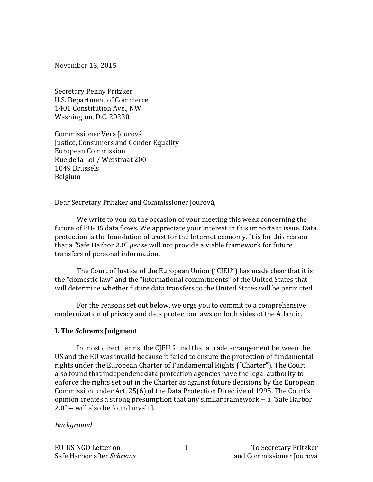November 13, 2015

Secretary Penny Pritzker U.S. Department of Commerce 1401 Constitution Ave., NW Washington, D.C. 20230

Commissioner Věra Jourová Justice, Consumers and Gender Equality European Commission Rue de la Loi / Wetstraat 200 1049 Brussels Belgium

Dear Secretary Pritzker and Commissioner Jourová,

We write to you on the occasion of your meeting this week concerning the future of EU-US data flows. We appreciate your interest in this important issue. Data protection is the foundation of trust for the Internet economy. It is for this reason that a "Safe Harbor 2.0" *per se* will not provide a viable framework for future transfers of personal information.

The Court of Justice of the European Union ("CJEU") has made clear that it is the "domestic law" and the "international commitments" of the United States that will determine whether future data transfers to the United States will be permitted.

For the reasons set out below, we urge you to commit to a comprehensive modernization of privacy and data protection laws on both sides of the Atlantic.

## **I. The Schrems Judgment**

In most direct terms, the CJEU found that a trade arrangement between the US and the EU was invalid because it failed to ensure the protection of fundamental rights under the European Charter of Fundamental Rights ("Charter"). The Court also found that independent data protection agencies have the legal authority to enforce the rights set out in the Charter as against future decisions by the European Commission under Art. 25(6) of the Data Protection Directive of 1995. The Court's opinion creates a strong presumption that any similar framework -- a "Safe Harbor 2.0" -- will also be found invalid.

#### *Background*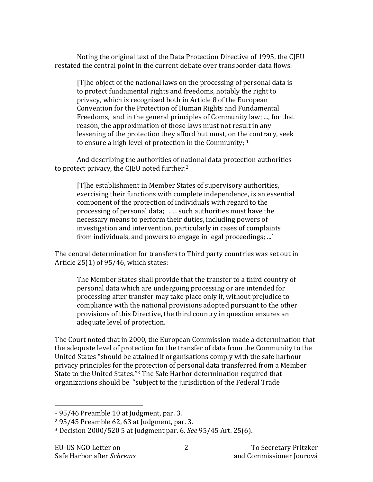Noting the original text of the Data Protection Directive of 1995, the CJEU restated the central point in the current debate over transborder data flows:

[T]he object of the national laws on the processing of personal data is to protect fundamental rights and freedoms, notably the right to privacy, which is recognised both in Article 8 of the European Convention for the Protection of Human Rights and Fundamental Freedoms, and in the general principles of Community law; ..., for that reason, the approximation of those laws must not result in any lessening of the protection they afford but must, on the contrary, seek to ensure a high level of protection in the Community;  $1$ 

And describing the authorities of national data protection authorities to protect privacy, the CJEU noted further:<sup>2</sup>

[T]he establishment in Member States of supervisory authorities, exercising their functions with complete independence, is an essential component of the protection of individuals with regard to the processing of personal data;  $\ldots$  such authorities must have the necessary means to perform their duties, including powers of investigation and intervention, particularly in cases of complaints from individuals, and powers to engage in legal proceedings; ...'

The central determination for transfers to Third party countries was set out in Article  $25(1)$  of  $95/46$ , which states:

The Member States shall provide that the transfer to a third country of personal data which are undergoing processing or are intended for processing after transfer may take place only if, without prejudice to compliance with the national provisions adopted pursuant to the other provisions of this Directive, the third country in question ensures an adequate level of protection.

The Court noted that in 2000, the European Commission made a determination that the adequate level of protection for the transfer of data from the Community to the United States "should be attained if organisations comply with the safe harbour privacy principles for the protection of personal data transferred from a Member State to the United States."<sup>3</sup> The Safe Harbor determination required that organizations should be "subject to the jurisdiction of the Federal Trade

 $1\,95/46$  Preamble 10 at Judgment, par. 3.

 $2$  95/45 Preamble 62, 63 at Judgment, par. 3.

<sup>&</sup>lt;sup>3</sup> Decision 2000/520 5 at Judgment par. 6. *See* 95/45 Art. 25(6).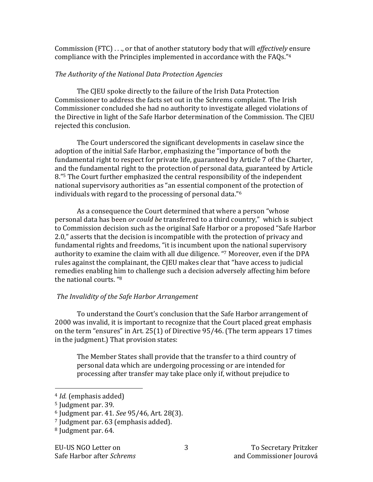Commission (FTC) . . ., or that of another statutory body that will *effectively* ensure compliance with the Principles implemented in accordance with the FAQs."4

#### *The Authority of the National Data Protection Agencies*

The CJEU spoke directly to the failure of the Irish Data Protection Commissioner to address the facts set out in the Schrems complaint. The Irish Commissioner concluded she had no authority to investigate alleged violations of the Directive in light of the Safe Harbor determination of the Commission. The CJEU rejected this conclusion.

The Court underscored the significant developments in caselaw since the adoption of the initial Safe Harbor, emphasizing the "importance of both the fundamental right to respect for private life, guaranteed by Article 7 of the Charter, and the fundamental right to the protection of personal data, guaranteed by Article 8."<sup>5</sup> The Court further emphasized the central responsibility of the independent national supervisory authorities as "an essential component of the protection of individuals with regard to the processing of personal data." $6$ 

As a consequence the Court determined that where a person "whose" personal data has been *or could be* transferred to a third country," which is subject to Commission decision such as the original Safe Harbor or a proposed "Safe Harbor 2.0," asserts that the decision is incompatible with the protection of privacy and fundamental rights and freedoms, "it is incumbent upon the national supervisory authority to examine the claim with all due diligence. "7 Moreover, even if the DPA rules against the complainant, the CJEU makes clear that "have access to judicial remedies enabling him to challenge such a decision adversely affecting him before the national courts. "<sup>8</sup>

## The Invalidity of the Safe Harbor Arrangement

To understand the Court's conclusion that the Safe Harbor arrangement of 2000 was invalid, it is important to recognize that the Court placed great emphasis on the term "ensures" in Art.  $25(1)$  of Directive  $95/46$ . (The term appears 17 times in the judgment.) That provision states:

The Member States shall provide that the transfer to a third country of personal data which are undergoing processing or are intended for processing after transfer may take place only if, without prejudice to

<sup>&</sup>lt;sup>4</sup> *Id.* (emphasis added)

 $5$  Judgment par. 39.

<sup>6</sup> Judgment par. 41. *See* 95/46, Art. 28(3).

 $7$  Judgment par. 63 (emphasis added).

<sup>&</sup>lt;sup>8</sup> Judgment par. 64.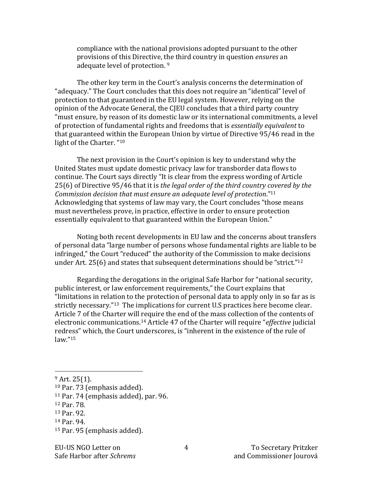compliance with the national provisions adopted pursuant to the other provisions of this Directive, the third country in question *ensures* an adequate level of protection. <sup>9</sup>

The other key term in the Court's analysis concerns the determination of "adequacy." The Court concludes that this does not require an "identical" level of protection to that guaranteed in the EU legal system. However, relying on the opinion of the Advocate General, the CJEU concludes that a third party country "must ensure, by reason of its domestic law or its international commitments, a level of protection of fundamental rights and freedoms that is *essentially equivalent* to that guaranteed within the European Union by virtue of Directive 95/46 read in the light of the Charter. "10

The next provision in the Court's opinion is key to understand why the United States must update domestic privacy law for transborder data flows to continue. The Court says directly "It is clear from the express wording of Article 25(6) of Directive 95/46 that it is the legal order of the third country covered by the *Commission decision that must ensure an adequate level of protection.*"<sup>11</sup> Acknowledging that systems of law may vary, the Court concludes "those means" must nevertheless prove, in practice, effective in order to ensure protection essentially equivalent to that guaranteed within the European Union."

Noting both recent developments in EU law and the concerns about transfers of personal data "large number of persons whose fundamental rights are liable to be infringed," the Court "reduced" the authority of the Commission to make decisions under Art.  $25(6)$  and states that subsequent determinations should be "strict."<sup>12</sup>

Regarding the derogations in the original Safe Harbor for "national security, public interest, or law enforcement requirements," the Court explains that "limitations in relation to the protection of personal data to apply only in so far as is strictly necessary."<sup>13</sup> The implications for current U.S practices here become clear. Article 7 of the Charter will require the end of the mass collection of the contents of electronic communications.<sup>14</sup> Article 47 of the Charter will require "*effective* judicial redress" which, the Court underscores, is "inherent in the existence of the rule of law."15

 

<sup>15</sup> Par. 95 (emphasis added).

 $9$  Art. 25(1).

<sup>&</sup>lt;sup>10</sup> Par. 73 (emphasis added).

 $11$  Par. 74 (emphasis added), par. 96.

<sup>12</sup> Par. 78.

<sup>13</sup> Par. 92.

<sup>14</sup> Par. 94.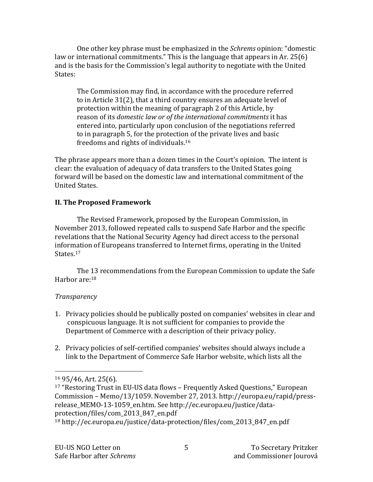One other key phrase must be emphasized in the *Schrems* opinion: "domestic law or international commitments." This is the language that appears in Ar. 25(6) and is the basis for the Commission's legal authority to negotiate with the United States:

The Commission may find, in accordance with the procedure referred to in Article  $31(2)$ , that a third country ensures an adequate level of protection within the meaning of paragraph 2 of this Article, by reason of its *domestic law or of the international commitments* it has entered into, particularly upon conclusion of the negotiations referred to in paragraph 5, for the protection of the private lives and basic freedoms and rights of individuals.<sup>16</sup>

The phrase appears more than a dozen times in the Court's opinion. The intent is clear: the evaluation of adequacy of data transfers to the United States going forward will be based on the domestic law and international commitment of the United States.

# **II. The Proposed Framework**

The Revised Framework, proposed by the European Commission, in November 2013, followed repeated calls to suspend Safe Harbor and the specific revelations that the National Security Agency had direct access to the personal information of Europeans transferred to Internet firms, operating in the United States.<sup>17</sup>

The 13 recommendations from the European Commission to update the Safe Harbor are: $18$ 

## *Transparency*

- 1. Privacy policies should be publically posted on companies' websites in clear and conspicuous language. It is not sufficient for companies to provide the Department of Commerce with a description of their privacy policy.
- 2. Privacy policies of self-certified companies' websites should always include a link to the Department of Commerce Safe Harbor website, which lists all the

 $16$  95/46, Art. 25(6).

 $17$  "Restoring Trust in EU-US data flows – Frequently Asked Questions," European Commission – Memo/13/1059. November 27, 2013. http://europa.eu/rapid/pressrelease MEMO-13-1059\_en.htm. See http://ec.europa.eu/justice/dataprotection/files/com\_2013\_847\_en.pdf

<sup>18</sup> http://ec.europa.eu/justice/data-protection/files/com\_2013\_847\_en.pdf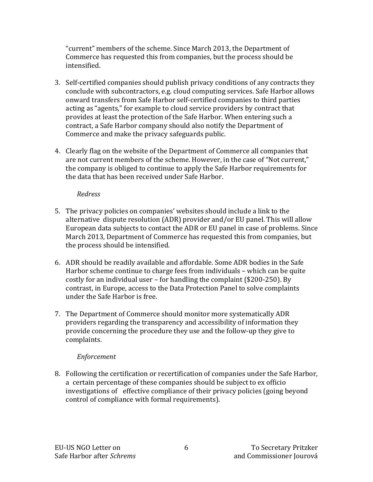"current" members of the scheme. Since March 2013, the Department of Commerce has requested this from companies, but the process should be intensified. 

- 3. Self-certified companies should publish privacy conditions of any contracts they conclude with subcontractors, e.g. cloud computing services. Safe Harbor allows onward transfers from Safe Harbor self-certified companies to third parties acting as "agents," for example to cloud service providers by contract that provides at least the protection of the Safe Harbor. When entering such a contract, a Safe Harbor company should also notify the Department of Commerce and make the privacy safeguards public.
- 4. Clearly flag on the website of the Department of Commerce all companies that are not current members of the scheme. However, in the case of "Not current," the company is obliged to continue to apply the Safe Harbor requirements for the data that has been received under Safe Harbor.

#### *Redress*

- 5. The privacy policies on companies' websites should include a link to the alternative dispute resolution (ADR) provider and/or EU panel. This will allow European data subjects to contact the ADR or EU panel in case of problems. Since March 2013, Department of Commerce has requested this from companies, but the process should be intensified.
- 6. ADR should be readily available and affordable. Some ADR bodies in the Safe Harbor scheme continue to charge fees from individuals - which can be quite costly for an individual user – for handling the complaint  $(\$200-250)$ . By contrast, in Europe, access to the Data Protection Panel to solve complaints under the Safe Harbor is free.
- 7. The Department of Commerce should monitor more systematically ADR providers regarding the transparency and accessibility of information they provide concerning the procedure they use and the follow-up they give to complaints.

## *Enforcement*

8. Following the certification or recertification of companies under the Safe Harbor, a certain percentage of these companies should be subject to ex officio investigations of effective compliance of their privacy policies (going beyond control of compliance with formal requirements).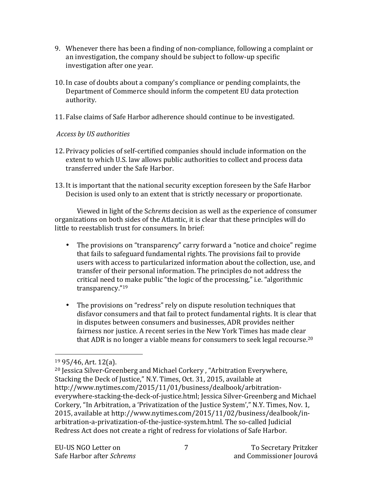- 9. Whenever there has been a finding of non-compliance, following a complaint or an investigation, the company should be subject to follow-up specific investigation after one year.
- 10. In case of doubts about a company's compliance or pending complaints, the Department of Commerce should inform the competent EU data protection authority.
- 11. False claims of Safe Harbor adherence should continue to be investigated.

## Access by *US* authorities

- 12. Privacy policies of self-certified companies should include information on the extent to which U.S. law allows public authorities to collect and process data transferred under the Safe Harbor.
- 13. It is important that the national security exception foreseen by the Safe Harbor Decision is used only to an extent that is strictly necessary or proportionate.

Viewed in light of the *Schrems* decision as well as the experience of consumer organizations on both sides of the Atlantic, it is clear that these principles will do little to reestablish trust for consumers. In brief:

- The provisions on "transparency" carry forward a "notice and choice" regime that fails to safeguard fundamental rights. The provisions fail to provide users with access to particularized information about the collection, use, and transfer of their personal information. The principles do not address the critical need to make public "the logic of the processing," i.e. "algorithmic transparency."19
- The provisions on "redress" rely on dispute resolution techniques that disfavor consumers and that fail to protect fundamental rights. It is clear that in disputes between consumers and businesses, ADR provides neither fairness nor justice. A recent series in the New York Times has made clear that ADR is no longer a viable means for consumers to seek legal recourse.<sup>20</sup>

 $19\,95/46$ , Art. 12(a).

<sup>&</sup>lt;sup>20</sup> Jessica Silver-Greenberg and Michael Corkery, "Arbitration Everywhere, Stacking the Deck of Justice," N.Y. Times, Oct. 31, 2015, available at http://www.nytimes.com/2015/11/01/business/dealbook/arbitrationeverywhere-stacking-the-deck-of-justice.html; Jessica Silver-Greenberg and Michael Corkery, "In Arbitration, a 'Privatization of the Justice System'," N.Y. Times, Nov. 1, 2015, available at http://www.nytimes.com/2015/11/02/business/dealbook/inarbitration-a-privatization-of-the-justice-system.html. The so-called Judicial Redress Act does not create a right of redress for violations of Safe Harbor.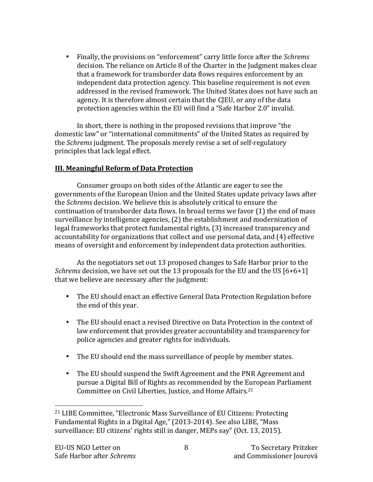• Finally, the provisions on "enforcement" carry little force after the *Schrems* decision. The reliance on Article 8 of the Charter in the Judgment makes clear that a framework for transborder data flows requires enforcement by an independent data protection agency. This baseline requirement is not even addressed in the revised framework. The United States does not have such an agency. It is therefore almost certain that the CJEU, or any of the data protection agencies within the EU will find a "Safe Harbor 2.0" invalid.

In short, there is nothing in the proposed revisions that improve "the domestic law" or "international commitments" of the United States as required by the *Schrems* judgment. The proposals merely revise a set of self-regulatory principles that lack legal effect.

#### **III. Meaningful Reform of Data Protection**

Consumer groups on both sides of the Atlantic are eager to see the governments of the European Union and the United States update privacy laws after the *Schrems* decision. We believe this is absolutely critical to ensure the continuation of transborder data flows. In broad terms we favor  $(1)$  the end of mass surveillance by intelligence agencies, (2) the establishment and modernization of legal frameworks that protect fundamental rights, (3) increased transparency and accountability for organizations that collect and use personal data, and (4) effective means of oversight and enforcement by independent data protection authorities.

As the negotiators set out 13 proposed changes to Safe Harbor prior to the *Schrems* decision, we have set out the 13 proposals for the EU and the US [6+6+1] that we believe are necessary after the judgment:

- The EU should enact an effective General Data Protection Regulation before the end of this year.
- The EU should enact a revised Directive on Data Protection in the context of law enforcement that provides greater accountability and transparency for police agencies and greater rights for individuals.
- The EU should end the mass surveillance of people by member states.
- The EU should suspend the Swift Agreement and the PNR Agreement and pursue a Digital Bill of Rights as recommended by the European Parliament Committee on Civil Liberties, Justice, and Home Affairs.<sup>21</sup>

 $21$  LIBE Committee, "Electronic Mass Surveillance of EU Citizens: Protecting Fundamental Rights in a Digital Age," (2013-2014). See also LIBE, "Mass surveillance: EU citizens' rights still in danger, MEPs say" (Oct. 13, 2015).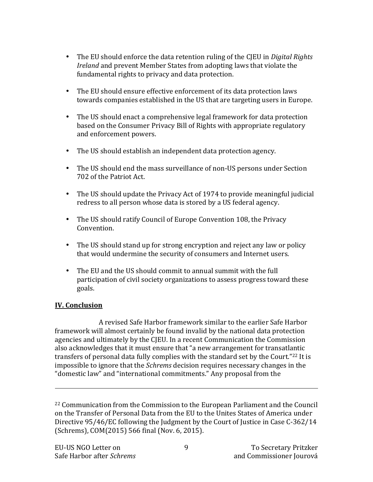- The EU should enforce the data retention ruling of the CJEU in *Digital Rights Ireland* and prevent Member States from adopting laws that violate the fundamental rights to privacy and data protection.
- The EU should ensure effective enforcement of its data protection laws towards companies established in the US that are targeting users in Europe.
- The US should enact a comprehensive legal framework for data protection based on the Consumer Privacy Bill of Rights with appropriate regulatory and enforcement powers.
- The US should establish an independent data protection agency.
- The US should end the mass surveillance of non-US persons under Section 702 of the Patriot Act.
- The US should update the Privacy Act of 1974 to provide meaningful judicial redress to all person whose data is stored by a US federal agency.
- The US should ratify Council of Europe Convention 108, the Privacy Convention.
- The US should stand up for strong encryption and reject any law or policy that would undermine the security of consumers and Internet users.
- The EU and the US should commit to annual summit with the full participation of civil society organizations to assess progress toward these goals.

## **IV. Conclusion**

A revised Safe Harbor framework similar to the earlier Safe Harbor framework will almost certainly be found invalid by the national data protection agencies and ultimately by the CJEU. In a recent Communication the Commission also acknowledges that it must ensure that "a new arrangement for transatlantic transfers of personal data fully complies with the standard set by the Court."<sup>22</sup> It is impossible to ignore that the *Schrems* decision requires necessary changes in the "domestic law" and "international commitments." Any proposal from the

<u> 1989 - Andrea Santa Andrea Andrea Andrea Andrea Andrea Andrea Andrea Andrea Andrea Andrea Andrea Andrea Andr</u>

 $22$  Communication from the Commission to the European Parliament and the Council on the Transfer of Personal Data from the EU to the Unites States of America under Directive 95/46/EC following the Judgment by the Court of Justice in Case C-362/14 (Schrems), COM(2015) 566 final (Nov. 6, 2015).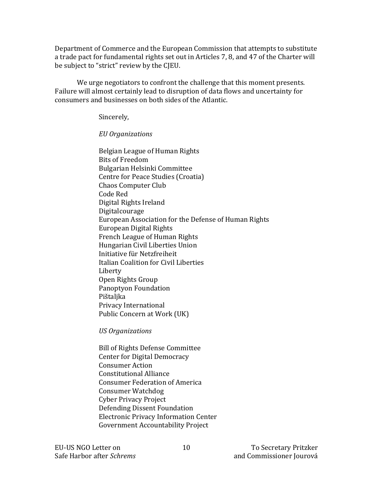Department of Commerce and the European Commission that attempts to substitute a trade pact for fundamental rights set out in Articles 7, 8, and 47 of the Charter will be subject to "strict" review by the CJEU.

We urge negotiators to confront the challenge that this moment presents. Failure will almost certainly lead to disruption of data flows and uncertainty for consumers and businesses on both sides of the Atlantic.

Sincerely,

## *EU Organizations*

Belgian League of Human Rights Bits of Freedom Bulgarian Helsinki Committee Centre for Peace Studies (Croatia) Chaos Computer Club Code Red Digital Rights Ireland Digitalcourage European Association for the Defense of Human Rights European Digital Rights French League of Human Rights Hungarian Civil Liberties Union Initiative für Netzfreiheit Italian Coalition for Civil Liberties Liberty Open Rights Group Panoptyon Foundation Pištaljka Privacy International Public Concern at Work (UK)

*US Organizations*

Bill of Rights Defense Committee Center for Digital Democracy Consumer Action Constitutional Alliance Consumer Federation of America Consumer Watchdog Cyber Privacy Project Defending Dissent Foundation Electronic Privacy Information Center Government Accountability Project